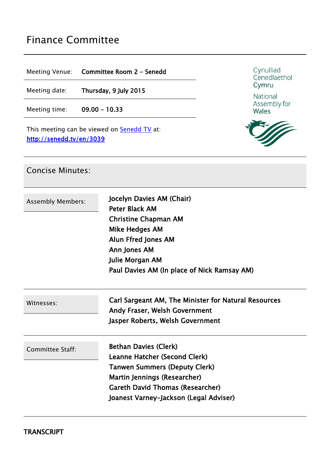# Finance Committee

Meeting Venue: **Committee Room 2 - Senedd**

Meeting date: **Thursday, 9 July 2015**

Meeting time: **09.00 - 10.33**

This meeting can be viewed on **[Senedd](http://senedd.tv/) TV** at: **<http://senedd.tv/en/3039>**



National Assembly for Wales



#### Concise Minutes:

| <b>Assembly Members:</b> | Jocelyn Davies AM (Chair)<br><b>Peter Black AM</b><br><b>Christine Chapman AM</b><br><b>Mike Hedges AM</b><br>Alun Ffred Jones AM<br>Ann Jones AM<br>Julie Morgan AM<br>Paul Davies AM (In place of Nick Ramsay AM)        |
|--------------------------|----------------------------------------------------------------------------------------------------------------------------------------------------------------------------------------------------------------------------|
| Witnesses:               | Carl Sargeant AM, The Minister for Natural Resources<br><b>Andy Fraser, Welsh Government</b><br>Jasper Roberts, Welsh Government                                                                                           |
| Committee Staff:         | <b>Bethan Davies (Clerk)</b><br>Leanne Hatcher (Second Clerk)<br><b>Tanwen Summers (Deputy Clerk)</b><br>Martin Jennings (Researcher)<br><b>Gareth David Thomas (Researcher)</b><br>Joanest Varney-Jackson (Legal Adviser) |